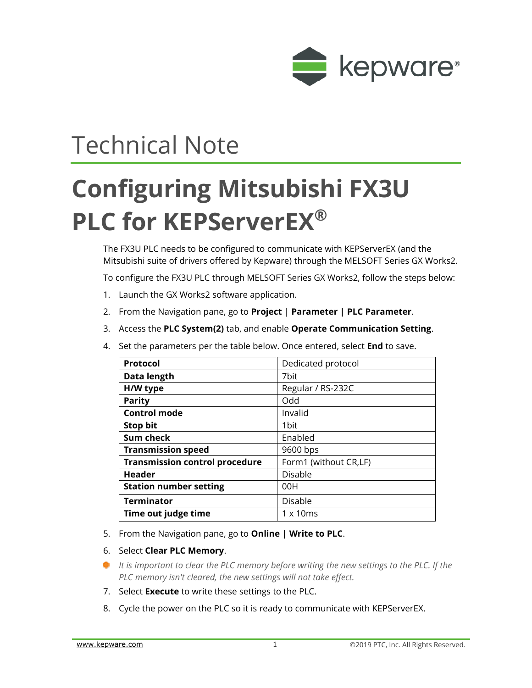

## Technical Note

## **Configuring Mitsubishi FX3U PLC for KEPServerEX®**

The FX3U PLC needs to be configured to communicate with KEPServerEX (and the Mitsubishi suite of drivers offered by Kepware) through the MELSOFT Series GX Works2.

To configure the FX3U PLC through MELSOFT Series GX Works2, follow the steps below:

- 1. Launch the GX Works2 software application.
- 2. From the Navigation pane, go to **Project** | **Parameter | PLC Parameter**.
- 3. Access the **PLC System(2)** tab, and enable **Operate Communication Setting**.
- 4. Set the parameters per the table below. Once entered, select **End** to save.

| Protocol                              | Dedicated protocol    |
|---------------------------------------|-----------------------|
| Data length                           | 7bit                  |
| H/W type                              | Regular / RS-232C     |
| <b>Parity</b>                         | Odd                   |
| <b>Control mode</b>                   | Invalid               |
| <b>Stop bit</b>                       | 1bit                  |
| Sum check                             | Enabled               |
| <b>Transmission speed</b>             | 9600 bps              |
| <b>Transmission control procedure</b> | Form1 (without CR,LF) |
| <b>Header</b>                         | <b>Disable</b>        |
| <b>Station number setting</b>         | 00H                   |
| <b>Terminator</b>                     | Disable               |
| Time out judge time                   | $1 \times 10$ ms      |
|                                       |                       |

- 5. From the Navigation pane, go to **Online | Write to PLC**.
- 6. Select **Clear PLC Memory**.
- *It is important to clear the PLC memory before writing the new settings to the PLC. If the PLC memory isn't cleared, the new settings will not take effect.*
- 7. Select **Execute** to write these settings to the PLC.
- 8. Cycle the power on the PLC so it is ready to communicate with KEPServerEX.